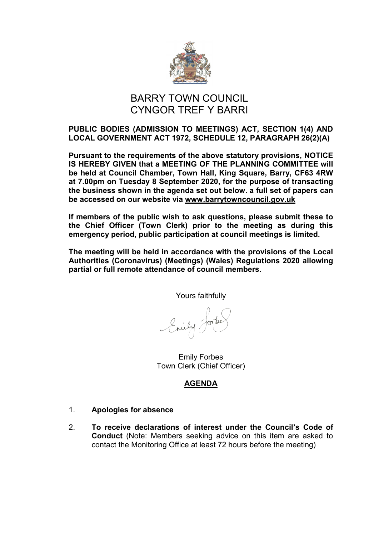

# BARRY TOWN COUNCIL CYNGOR TREF Y BARRI

## **PUBLIC BODIES (ADMISSION TO MEETINGS) ACT, SECTION 1(4) AND LOCAL GOVERNMENT ACT 1972, SCHEDULE 12, PARAGRAPH 26(2)(A)**

**Pursuant to the requirements of the above statutory provisions, NOTICE IS HEREBY GIVEN that a MEETING OF THE PLANNING COMMITTEE will be held at Council Chamber, Town Hall, King Square, Barry, CF63 4RW at 7.00pm on Tuesday 8 September 2020, for the purpose of transacting the business shown in the agenda set out below. a full set of papers can be accessed on our website via [www.barrytowncouncil.gov.uk](http://www.barrytowncouncil.gov.uk/)**

**If members of the public wish to ask questions, please submit these to the Chief Officer (Town Clerk) prior to the meeting as during this emergency period, public participation at council meetings is limited.** 

**The meeting will be held in accordance with the provisions of the Local Authorities (Coronavirus) (Meetings) (Wales) Regulations 2020 allowing partial or full remote attendance of council members.**

Yours faithfully

brief Jork

Emily Forbes Town Clerk (Chief Officer)

# **AGENDA**

- 1. **Apologies for absence**
- 2. **To receive declarations of interest under the Council's Code of Conduct** (Note: Members seeking advice on this item are asked to contact the Monitoring Office at least 72 hours before the meeting)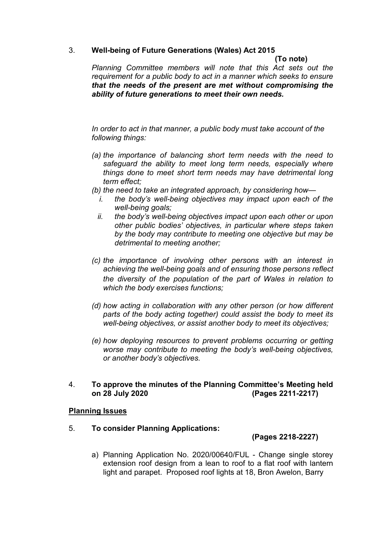## 3. **Well-being of Future Generations (Wales) Act 2015**

#### **(To note)**

*Planning Committee members will note that this Act sets out the requirement for a public body to act in a manner which seeks to ensure that the needs of the present are met without compromising the ability of future generations to meet their own needs.*

*In order to act in that manner, a public body must take account of the following things:*

- *(a) the importance of balancing short term needs with the need to safeguard the ability to meet long term needs, especially where things done to meet short term needs may have detrimental long term effect;*
- *(b) the need to take an integrated approach, by considering how*
	- *i. the body's well-being objectives may impact upon each of the well-being goals;*
	- *ii. the body's well-being objectives impact upon each other or upon other public bodies' objectives, in particular where steps taken by the body may contribute to meeting one objective but may be detrimental to meeting another;*
- *(c) the importance of involving other persons with an interest in achieving the well-being goals and of ensuring those persons reflect the diversity of the population of the part of Wales in relation to which the body exercises functions;*
- *(d) how acting in collaboration with any other person (or how different parts of the body acting together) could assist the body to meet its well-being objectives, or assist another body to meet its objectives;*
- *(e) how deploying resources to prevent problems occurring or getting worse may contribute to meeting the body's well-being objectives, or another body's objectives.*

### 4. **To approve the minutes of the Planning Committee's Meeting held on 28 July 2020 (Pages 2211-2217)**

### **Planning Issues**

### 5. **To consider Planning Applications:**

### **(Pages 2218-2227)**

a) Planning Application No. 2020/00640/FUL - Change single storey extension roof design from a lean to roof to a flat roof with lantern light and parapet. Proposed roof lights at 18, Bron Awelon, Barry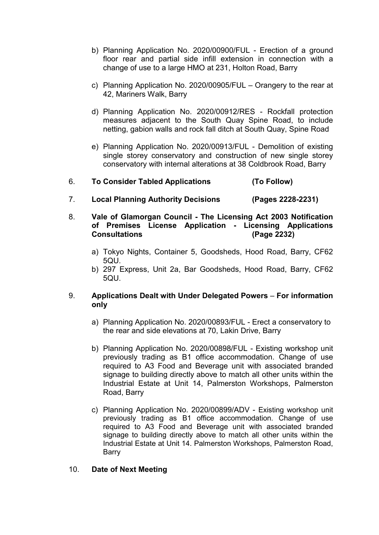- b) Planning Application No. 2020/00900/FUL Erection of a ground floor rear and partial side infill extension in connection with a change of use to a large HMO at 231, Holton Road, Barry
- c) Planning Application No. 2020/00905/FUL Orangery to the rear at 42, Mariners Walk, Barry
- d) Planning Application No. 2020/00912/RES Rockfall protection measures adjacent to the South Quay Spine Road, to include netting, gabion walls and rock fall ditch at South Quay, Spine Road
- e) Planning Application No. 2020/00913/FUL Demolition of existing single storey conservatory and construction of new single storey conservatory with internal alterations at 38 Coldbrook Road, Barry

## 6. **To Consider Tabled Applications (To Follow)**

- 7. **Local Planning Authority Decisions (Pages 2228-2231)**
- 8. **Vale of Glamorgan Council - The Licensing Act 2003 Notification of Premises License Application - Licensing Applications**   $$ 
	- a) Tokyo Nights, Container 5, Goodsheds, Hood Road, Barry, CF62 5QU.
	- b) 297 Express, Unit 2a, Bar Goodsheds, Hood Road, Barry, CF62 5QU.

## 9. **Applications Dealt with Under Delegated Powers** – **For information only**

- a) Planning Application No. 2020/00893/FUL Erect a conservatory to the rear and side elevations at 70, Lakin Drive, Barry
- b) Planning Application No. 2020/00898/FUL Existing workshop unit previously trading as B1 office accommodation. Change of use required to A3 Food and Beverage unit with associated branded signage to building directly above to match all other units within the Industrial Estate at Unit 14, Palmerston Workshops, Palmerston Road, Barry
- c) Planning Application No. 2020/00899/ADV Existing workshop unit previously trading as B1 office accommodation. Change of use required to A3 Food and Beverage unit with associated branded signage to building directly above to match all other units within the Industrial Estate at Unit 14. Palmerston Workshops, Palmerston Road, Barry

### 10. **Date of Next Meeting**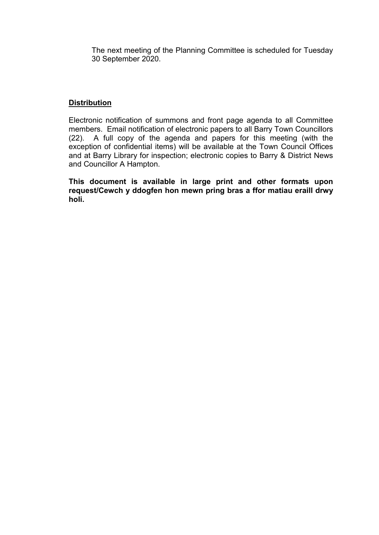The next meeting of the Planning Committee is scheduled for Tuesday 30 September 2020.

## **Distribution**

Electronic notification of summons and front page agenda to all Committee members. Email notification of electronic papers to all Barry Town Councillors (22). A full copy of the agenda and papers for this meeting (with the exception of confidential items) will be available at the Town Council Offices and at Barry Library for inspection; electronic copies to Barry & District News and Councillor A Hampton.

**This document is available in large print and other formats upon request/Cewch y ddogfen hon mewn pring bras a ffor matiau eraill drwy holi.**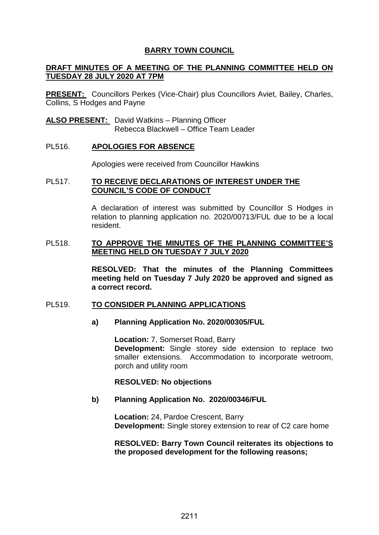#### **DRAFT MINUTES OF A MEETING OF THE PLANNING COMMITTEE HELD ON TUESDAY 28 JULY 2020 AT 7PM**

**PRESENT:** Councillors Perkes (Vice-Chair) plus Councillors Aviet, Bailey, Charles, Collins, S Hodges and Payne

**ALSO PRESENT:** David Watkins – Planning Officer Rebecca Blackwell – Office Team Leader

#### PL516. **APOLOGIES FOR ABSENCE**

Apologies were received from Councillor Hawkins

#### PL517. **TO RECEIVE DECLARATIONS OF INTEREST UNDER THE COUNCIL'S CODE OF CONDUCT**

A declaration of interest was submitted by Councillor S Hodges in relation to planning application no. 2020/00713/FUL due to be a local resident.

#### PL518. **TO APPROVE THE MINUTES OF THE PLANNING COMMITTEE'S MEETING HELD ON TUESDAY 7 JULY 2020**

**RESOLVED: That the minutes of the Planning Committees meeting held on Tuesday 7 July 2020 be approved and signed as a correct record.** 

#### PL519. **TO CONSIDER PLANNING APPLICATIONS**

#### **a) Planning Application No. 2020/00305/FUL**

**Location:** 7, Somerset Road, Barry **Development:** Single storey side extension to replace two smaller extensions. Accommodation to incorporate wetroom, porch and utility room

#### **RESOLVED: No objections**

#### **b) Planning Application No. 2020/00346/FUL**

**Location:** 24, Pardoe Crescent, Barry **Development:** Single storey extension to rear of C2 care home

#### **RESOLVED: Barry Town Council reiterates its objections to the proposed development for the following reasons;**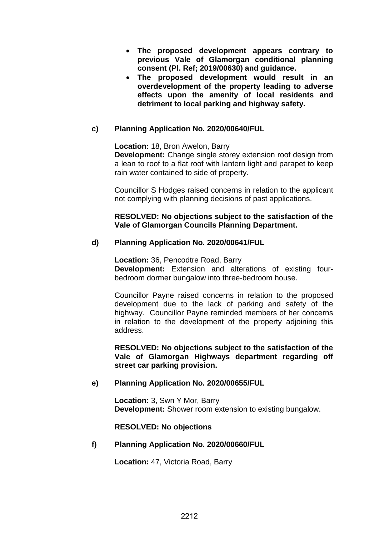- **The proposed development appears contrary to previous Vale of Glamorgan conditional planning consent (Pl. Ref; 2019/00630) and guidance.**
- **The proposed development would result in an overdevelopment of the property leading to adverse effects upon the amenity of local residents and detriment to local parking and highway safety.**

## **c) Planning Application No. 2020/00640/FUL**

**Location:** 18, Bron Awelon, Barry

**Development:** Change single storey extension roof design from a lean to roof to a flat roof with lantern light and parapet to keep rain water contained to side of property.

Councillor S Hodges raised concerns in relation to the applicant not complying with planning decisions of past applications.

#### **RESOLVED: No objections subject to the satisfaction of the Vale of Glamorgan Councils Planning Department.**

### **d) Planning Application No. 2020/00641/FUL**

**Location:** 36, Pencodtre Road, Barry **Development:** Extension and alterations of existing fourbedroom dormer bungalow into three-bedroom house.

Councillor Payne raised concerns in relation to the proposed development due to the lack of parking and safety of the highway. Councillor Payne reminded members of her concerns in relation to the development of the property adjoining this address.

**RESOLVED: No objections subject to the satisfaction of the Vale of Glamorgan Highways department regarding off street car parking provision.**

### **e) Planning Application No. 2020/00655/FUL**

**Location:** 3, Swn Y Mor, Barry **Development:** Shower room extension to existing bungalow.

#### **RESOLVED: No objections**

### **f) Planning Application No. 2020/00660/FUL**

**Location:** 47, Victoria Road, Barry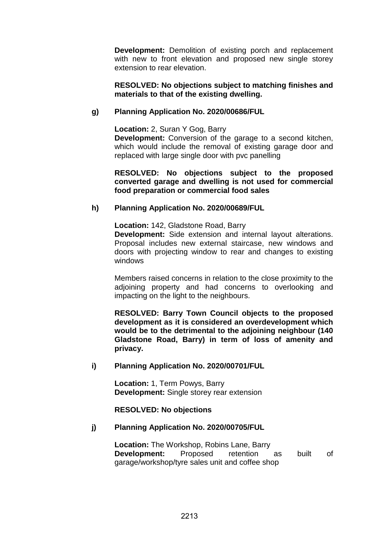**Development:** Demolition of existing porch and replacement with new to front elevation and proposed new single storey extension to rear elevation.

#### **RESOLVED: No objections subject to matching finishes and materials to that of the existing dwelling.**

### **g) Planning Application No. 2020/00686/FUL**

**Location:** 2, Suran Y Gog, Barry

**Development:** Conversion of the garage to a second kitchen, which would include the removal of existing garage door and replaced with large single door with pvc panelling

**RESOLVED: No objections subject to the proposed converted garage and dwelling is not used for commercial food preparation or commercial food sales**

### **h) Planning Application No. 2020/00689/FUL**

**Location:** 142, Gladstone Road, Barry **Development:** Side extension and internal layout alterations. Proposal includes new external staircase, new windows and doors with projecting window to rear and changes to existing windows

Members raised concerns in relation to the close proximity to the adjoining property and had concerns to overlooking and impacting on the light to the neighbours.

**RESOLVED: Barry Town Council objects to the proposed development as it is considered an overdevelopment which would be to the detrimental to the adjoining neighbour (140 Gladstone Road, Barry) in term of loss of amenity and privacy.**

### **i) Planning Application No. 2020/00701/FUL**

**Location:** 1, Term Powys, Barry **Development:** Single storey rear extension

### **RESOLVED: No objections**

### **j) Planning Application No. 2020/00705/FUL**

**Location:** The Workshop, Robins Lane, Barry **Development:** Proposed retention as built of garage/workshop/tyre sales unit and coffee shop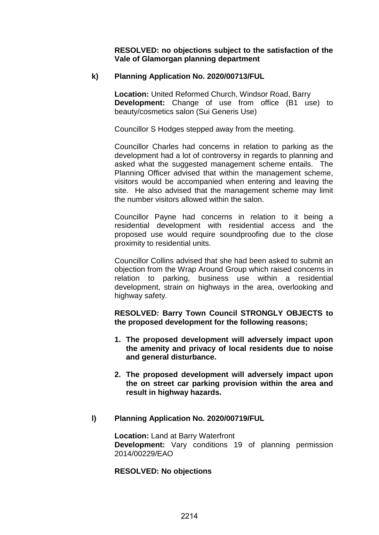**RESOLVED: no objections subject to the satisfaction of the Vale of Glamorgan planning department** 

#### **k) Planning Application No. 2020/00713/FUL**

**Location:** United Reformed Church, Windsor Road, Barry **Development:** Change of use from office (B1 use) to beauty/cosmetics salon (Sui Generis Use)

Councillor S Hodges stepped away from the meeting.

Councillor Charles had concerns in relation to parking as the development had a lot of controversy in regards to planning and asked what the suggested management scheme entails. The Planning Officer advised that within the management scheme, visitors would be accompanied when entering and leaving the site. He also advised that the management scheme may limit the number visitors allowed within the salon.

Councillor Payne had concerns in relation to it being a residential development with residential access and the proposed use would require soundproofing due to the close proximity to residential units.

Councillor Collins advised that she had been asked to submit an objection from the Wrap Around Group which raised concerns in relation to parking, business use within a residential development, strain on highways in the area, overlooking and highway safety.

**RESOLVED: Barry Town Council STRONGLY OBJECTS to the proposed development for the following reasons;**

- **1. The proposed development will adversely impact upon the amenity and privacy of local residents due to noise and general disturbance.**
- **2. The proposed development will adversely impact upon the on street car parking provision within the area and result in highway hazards.**

#### **l) Planning Application No. 2020/00719/FUL**

**Location: Land at Barry Waterfront Development:** Vary conditions 19 of planning permission 2014/00229/EAO

#### **RESOLVED: No objections**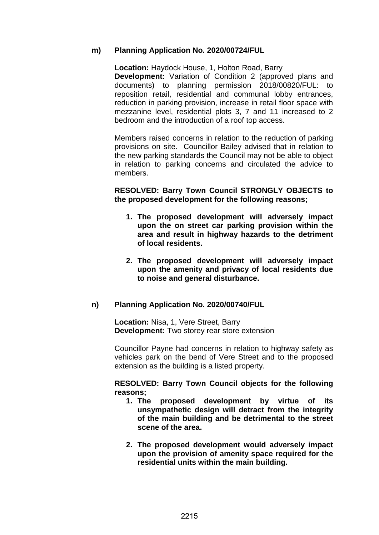#### **m) Planning Application No. 2020/00724/FUL**

**Location:** Haydock House, 1, Holton Road, Barry **Development:** Variation of Condition 2 (approved plans and documents) to planning permission 2018/00820/FUL: to reposition retail, residential and communal lobby entrances, reduction in parking provision, increase in retail floor space with mezzanine level, residential plots 3, 7 and 11 increased to 2 bedroom and the introduction of a roof top access.

Members raised concerns in relation to the reduction of parking provisions on site. Councillor Bailey advised that in relation to the new parking standards the Council may not be able to object in relation to parking concerns and circulated the advice to members.

#### **RESOLVED: Barry Town Council STRONGLY OBJECTS to the proposed development for the following reasons;**

- **1. The proposed development will adversely impact upon the on street car parking provision within the area and result in highway hazards to the detriment of local residents.**
- **2. The proposed development will adversely impact upon the amenity and privacy of local residents due to noise and general disturbance.**

### **n) Planning Application No. 2020/00740/FUL**

**Location:** Nisa, 1, Vere Street, Barry **Development:** Two storey rear store extension

Councillor Payne had concerns in relation to highway safety as vehicles park on the bend of Vere Street and to the proposed extension as the building is a listed property.

#### **RESOLVED: Barry Town Council objects for the following reasons;**

- **1. The proposed development by virtue of its unsympathetic design will detract from the integrity of the main building and be detrimental to the street scene of the area.**
- **2. The proposed development would adversely impact upon the provision of amenity space required for the residential units within the main building.**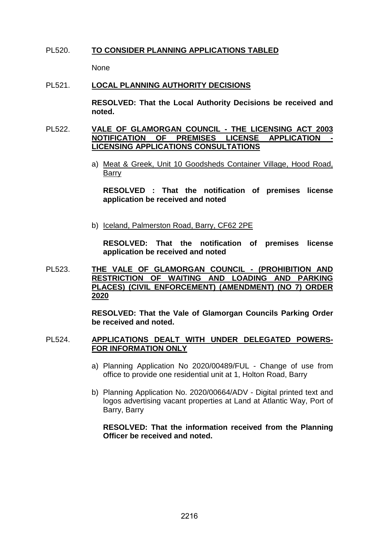#### PL520. **TO CONSIDER PLANNING APPLICATIONS TABLED**

None

#### PL521. **LOCAL PLANNING AUTHORITY DECISIONS**

**RESOLVED: That the Local Authority Decisions be received and noted.** 

#### PL522. **VALE OF GLAMORGAN COUNCIL - THE LICENSING ACT 2003 NOTIFICATION OF PREMISES LICENSE APPLICATION - LICENSING APPLICATIONS CONSULTATIONS**

a) Meat & Greek, Unit 10 Goodsheds Container Village, Hood Road, Barry

**RESOLVED : That the notification of premises license application be received and noted**

b) Iceland, Palmerston Road, Barry, CF62 2PE

**RESOLVED: That the notification of premises license application be received and noted**

PL523. **THE VALE OF GLAMORGAN COUNCIL - (PROHIBITION AND RESTRICTION OF WAITING AND LOADING AND PARKING PLACES) (CIVIL ENFORCEMENT) (AMENDMENT) (NO 7) ORDER 2020**

> **RESOLVED: That the Vale of Glamorgan Councils Parking Order be received and noted.**

#### PL524. **APPLICATIONS DEALT WITH UNDER DELEGATED POWERS-FOR INFORMATION ONLY**

- a) Planning Application No 2020/00489/FUL Change of use from office to provide one residential unit at 1, Holton Road, Barry
- b) Planning Application No. 2020/00664/ADV Digital printed text and logos advertising vacant properties at Land at Atlantic Way, Port of Barry, Barry

**RESOLVED: That the information received from the Planning Officer be received and noted.**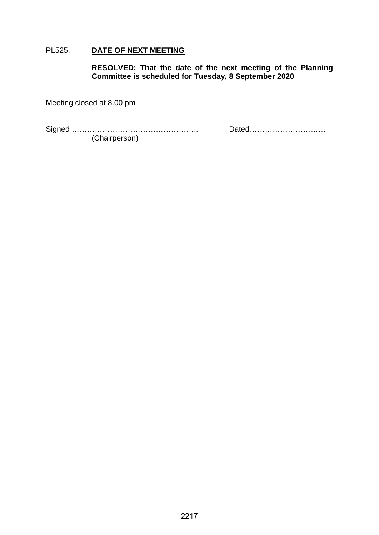## PL525. **DATE OF NEXT MEETING**

**RESOLVED: That the date of the next meeting of the Planning Committee is scheduled for Tuesday, 8 September 2020**

Meeting closed at 8.00 pm

Signed ………………………………………….. Dated………………………… (Chairperson)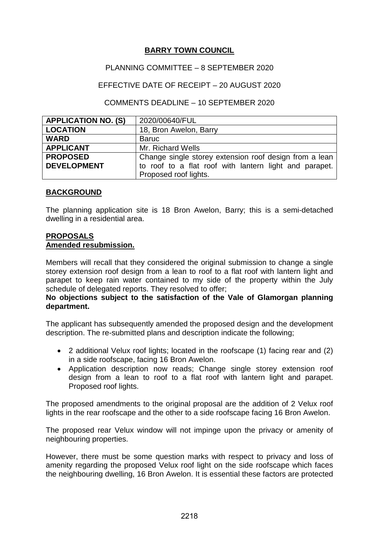## PLANNING COMMITTEE – 8 SEPTEMBER 2020

## EFFECTIVE DATE OF RECEIPT – 20 AUGUST 2020

### COMMENTS DEADLINE – 10 SEPTEMBER 2020

| <b>APPLICATION NO. (S)</b> | 2020/00640/FUL                                         |
|----------------------------|--------------------------------------------------------|
| <b>LOCATION</b>            | 18, Bron Awelon, Barry                                 |
| <b>WARD</b>                | <b>Baruc</b>                                           |
| <b>APPLICANT</b>           | Mr. Richard Wells                                      |
| <b>PROPOSED</b>            | Change single storey extension roof design from a lean |
| <b>DEVELOPMENT</b>         | to roof to a flat roof with lantern light and parapet. |
|                            | Proposed roof lights.                                  |

### **BACKGROUND**

The planning application site is 18 Bron Awelon, Barry; this is a semi-detached dwelling in a residential area.

## **PROPOSALS Amended resubmission.**

Members will recall that they considered the original submission to change a single storey extension roof design from a lean to roof to a flat roof with lantern light and parapet to keep rain water contained to my side of the property within the July schedule of delegated reports. They resolved to offer;

## **No objections subject to the satisfaction of the Vale of Glamorgan planning department.**

The applicant has subsequently amended the proposed design and the development description. The re-submitted plans and description indicate the following;

- 2 additional Velux roof lights; located in the roofscape (1) facing rear and (2) in a side roofscape, facing 16 Bron Awelon.
- Application description now reads; Change single storey extension roof design from a lean to roof to a flat roof with lantern light and parapet. Proposed roof lights.

The proposed amendments to the original proposal are the addition of 2 Velux roof lights in the rear roofscape and the other to a side roofscape facing 16 Bron Awelon.

The proposed rear Velux window will not impinge upon the privacy or amenity of neighbouring properties.

However, there must be some question marks with respect to privacy and loss of amenity regarding the proposed Velux roof light on the side roofscape which faces the neighbouring dwelling, 16 Bron Awelon. It is essential these factors are protected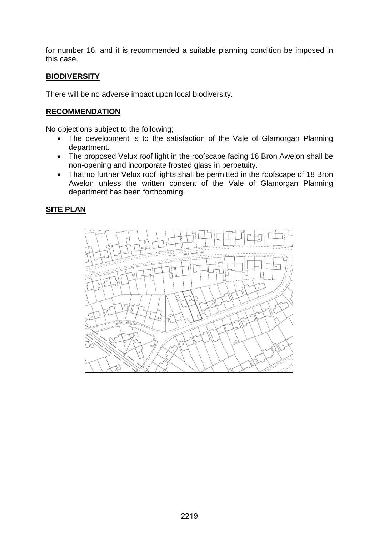for number 16, and it is recommended a suitable planning condition be imposed in this case.

## **BIODIVERSITY**

There will be no adverse impact upon local biodiversity.

## **RECOMMENDATION**

No objections subject to the following;

- The development is to the satisfaction of the Vale of Glamorgan Planning department.
- The proposed Velux roof light in the roofscape facing 16 Bron Awelon shall be non-opening and incorporate frosted glass in perpetuity.
- That no further Velux roof lights shall be permitted in the roofscape of 18 Bron Awelon unless the written consent of the Vale of Glamorgan Planning department has been forthcoming.

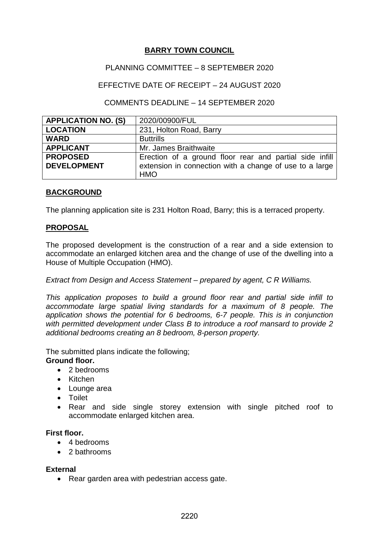## PLANNING COMMITTEE – 8 SEPTEMBER 2020

## EFFECTIVE DATE OF RECEIPT – 24 AUGUST 2020

### COMMENTS DEADLINE – 14 SEPTEMBER 2020

| <b>APPLICATION NO. (S)</b> | 2020/00900/FUL                                          |
|----------------------------|---------------------------------------------------------|
| <b>LOCATION</b>            | 231, Holton Road, Barry                                 |
| <b>WARD</b>                | <b>Buttrills</b>                                        |
| <b>APPLICANT</b>           | Mr. James Braithwaite                                   |
| <b>PROPOSED</b>            | Erection of a ground floor rear and partial side infill |
| <b>DEVELOPMENT</b>         | extension in connection with a change of use to a large |
|                            | <b>HMO</b>                                              |

## **BACKGROUND**

The planning application site is 231 Holton Road, Barry; this is a terraced property.

### **PROPOSAL**

The proposed development is the construction of a rear and a side extension to accommodate an enlarged kitchen area and the change of use of the dwelling into a House of Multiple Occupation (HMO).

*Extract from Design and Access Statement – prepared by agent, C R Williams.*

*This application proposes to build a ground floor rear and partial side infill to accommodate large spatial living standards for a maximum of 8 people. The application shows the potential for 6 bedrooms, 6-7 people. This is in conjunction with permitted development under Class B to introduce a roof mansard to provide 2 additional bedrooms creating an 8 bedroom, 8-person property.*

The submitted plans indicate the following;

### **Ground floor.**

- 2 bedrooms
- Kitchen
- Lounge area
- Toilet
- Rear and side single storey extension with single pitched roof to accommodate enlarged kitchen area.

### **First floor.**

- 4 bedrooms
- 2 bathrooms

#### **External**

• Rear garden area with pedestrian access gate.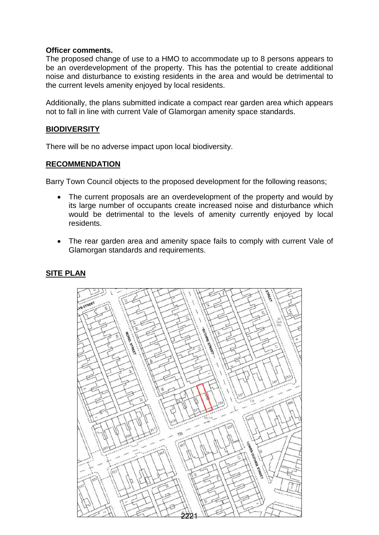#### **Officer comments.**

The proposed change of use to a HMO to accommodate up to 8 persons appears to be an overdevelopment of the property. This has the potential to create additional noise and disturbance to existing residents in the area and would be detrimental to the current levels amenity enjoyed by local residents.

Additionally, the plans submitted indicate a compact rear garden area which appears not to fall in line with current Vale of Glamorgan amenity space standards.

#### **BIODIVERSITY**

There will be no adverse impact upon local biodiversity.

### **RECOMMENDATION**

Barry Town Council objects to the proposed development for the following reasons;

- The current proposals are an overdevelopment of the property and would by its large number of occupants create increased noise and disturbance which would be detrimental to the levels of amenity currently enjoyed by local residents.
- The rear garden area and amenity space fails to comply with current Vale of Glamorgan standards and requirements.

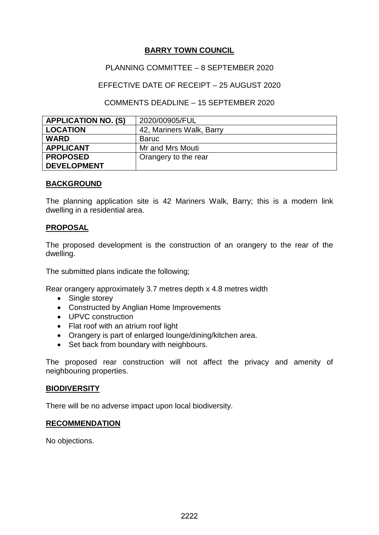## PLANNING COMMITTEE – 8 SEPTEMBER 2020

## EFFECTIVE DATE OF RECEIPT – 25 AUGUST 2020

#### COMMENTS DEADLINE – 15 SEPTEMBER 2020

| <b>APPLICATION NO. (S)</b> | 2020/00905/FUL           |
|----------------------------|--------------------------|
| <b>LOCATION</b>            | 42, Mariners Walk, Barry |
| <b>WARD</b>                | <b>Baruc</b>             |
| <b>APPLICANT</b>           | Mr and Mrs Mouti         |
| <b>PROPOSED</b>            | Orangery to the rear     |
| <b>DEVELOPMENT</b>         |                          |

#### **BACKGROUND**

The planning application site is 42 Mariners Walk, Barry; this is a modern link dwelling in a residential area.

### **PROPOSAL**

The proposed development is the construction of an orangery to the rear of the dwelling.

The submitted plans indicate the following;

Rear orangery approximately 3.7 metres depth x 4.8 metres width

- Single storey
- Constructed by Anglian Home Improvements
- UPVC construction
- Flat roof with an atrium roof light
- Orangery is part of enlarged lounge/dining/kitchen area.
- Set back from boundary with neighbours.

The proposed rear construction will not affect the privacy and amenity of neighbouring properties.

#### **BIODIVERSITY**

There will be no adverse impact upon local biodiversity.

#### **RECOMMENDATION**

No objections.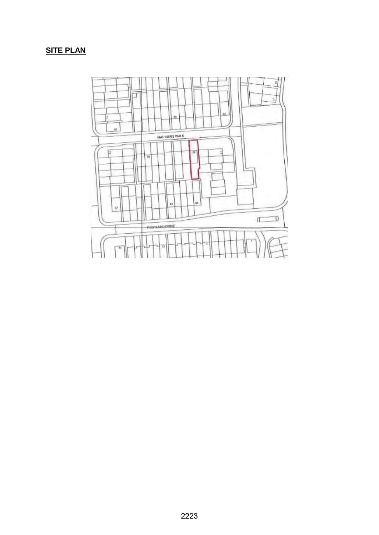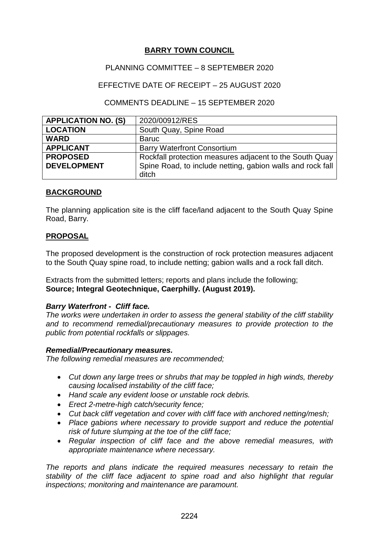## PLANNING COMMITTEE – 8 SEPTEMBER 2020

## EFFECTIVE DATE OF RECEIPT – 25 AUGUST 2020

### COMMENTS DEADLINE – 15 SEPTEMBER 2020

| <b>APPLICATION NO. (S)</b> | 2020/00912/RES                                             |  |
|----------------------------|------------------------------------------------------------|--|
| <b>LOCATION</b>            | South Quay, Spine Road                                     |  |
| <b>WARD</b>                | <b>Baruc</b>                                               |  |
| <b>APPLICANT</b>           | <b>Barry Waterfront Consortium</b>                         |  |
| <b>PROPOSED</b>            | Rockfall protection measures adjacent to the South Quay    |  |
| <b>DEVELOPMENT</b>         | Spine Road, to include netting, gabion walls and rock fall |  |
|                            | ditch                                                      |  |

## **BACKGROUND**

The planning application site is the cliff face/land adjacent to the South Quay Spine Road, Barry.

## **PROPOSAL**

The proposed development is the construction of rock protection measures adjacent to the South Quay spine road, to include netting; gabion walls and a rock fall ditch.

Extracts from the submitted letters; reports and plans include the following; **Source; Integral Geotechnique, Caerphilly. (August 2019).**

### *Barry Waterfront - Cliff face.*

*The works were undertaken in order to assess the general stability of the cliff stability and to recommend remedial/precautionary measures to provide protection to the public from potential rockfalls or slippages.*

#### *Remedial/Precautionary measures.*

*The following remedial measures are recommended;*

- *Cut down any large trees or shrubs that may be toppled in high winds, thereby causing localised instability of the cliff face;*
- *Hand scale any evident loose or unstable rock debris.*
- *Erect 2-metre-high catch/security fence;*
- *Cut back cliff vegetation and cover with cliff face with anchored netting/mesh;*
- *Place gabions where necessary to provide support and reduce the potential risk of future slumping at the toe of the cliff face;*
- *Regular inspection of cliff face and the above remedial measures, with appropriate maintenance where necessary.*

*The reports and plans indicate the required measures necessary to retain the stability of the cliff face adjacent to spine road and also highlight that regular inspections; monitoring and maintenance are paramount.*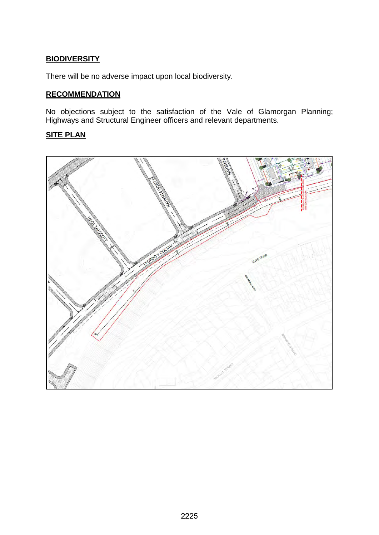## **BIODIVERSITY**

There will be no adverse impact upon local biodiversity.

## **RECOMMENDATION**

No objections subject to the satisfaction of the Vale of Glamorgan Planning; Highways and Structural Engineer officers and relevant departments.

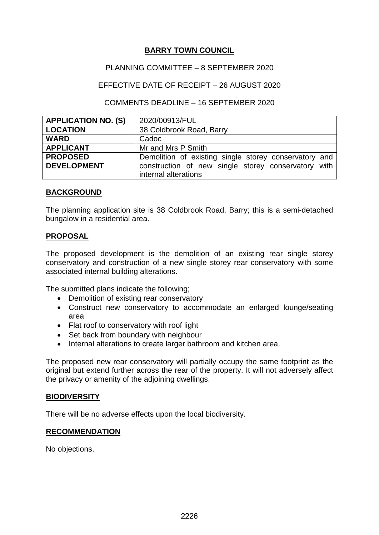## PLANNING COMMITTEE – 8 SEPTEMBER 2020

## EFFECTIVE DATE OF RECEIPT – 26 AUGUST 2020

### COMMENTS DEADLINE – 16 SEPTEMBER 2020

| <b>APPLICATION NO. (S)</b> | 2020/00913/FUL                                        |
|----------------------------|-------------------------------------------------------|
| <b>LOCATION</b>            | 38 Coldbrook Road, Barry                              |
| <b>WARD</b>                | Cadoc                                                 |
| <b>APPLICANT</b>           | Mr and Mrs P Smith                                    |
| <b>PROPOSED</b>            | Demolition of existing single storey conservatory and |
| <b>DEVELOPMENT</b>         | construction of new single storey conservatory with   |
|                            | internal alterations                                  |

### **BACKGROUND**

The planning application site is 38 Coldbrook Road, Barry; this is a semi-detached bungalow in a residential area.

### **PROPOSAL**

The proposed development is the demolition of an existing rear single storey conservatory and construction of a new single storey rear conservatory with some associated internal building alterations.

The submitted plans indicate the following;

- Demolition of existing rear conservatory
- Construct new conservatory to accommodate an enlarged lounge/seating area
- Flat roof to conservatory with roof light
- Set back from boundary with neighbour
- Internal alterations to create larger bathroom and kitchen area.

The proposed new rear conservatory will partially occupy the same footprint as the original but extend further across the rear of the property. It will not adversely affect the privacy or amenity of the adjoining dwellings.

### **BIODIVERSITY**

There will be no adverse effects upon the local biodiversity.

### **RECOMMENDATION**

No objections.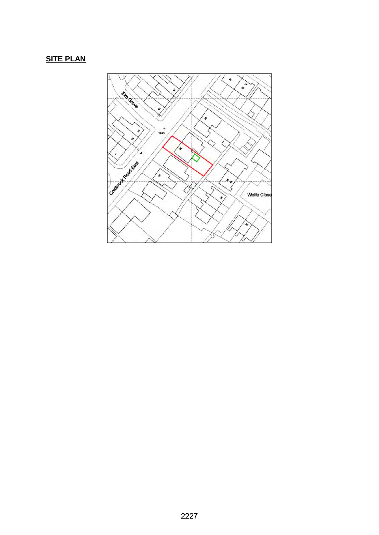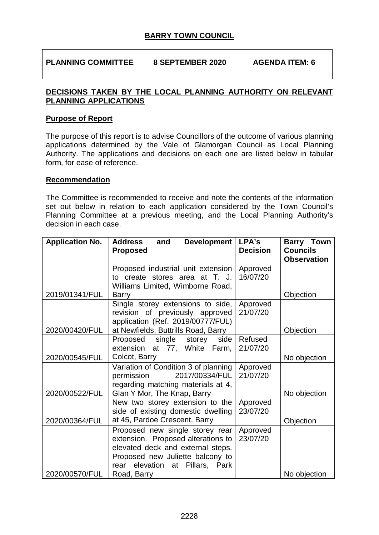**PLANNING COMMITTEE 8 SEPTEMBER 2020 AGENDA ITEM: 6** 

## **DECISIONS TAKEN BY THE LOCAL PLANNING AUTHORITY ON RELEVANT PLANNING APPLICATIONS**

## **Purpose of Report**

The purpose of this report is to advise Councillors of the outcome of various planning applications determined by the Vale of Glamorgan Council as Local Planning Authority. The applications and decisions on each one are listed below in tabular form, for ease of reference.

### **Recommendation**

The Committee is recommended to receive and note the contents of the information set out below in relation to each application considered by the Town Council's Planning Committee at a previous meeting, and the Local Planning Authority's decision in each case.

| <b>Application No.</b> | <b>Development</b><br><b>Address</b><br>and | LPA's           | <b>Barry Town</b>  |
|------------------------|---------------------------------------------|-----------------|--------------------|
|                        | <b>Proposed</b>                             | <b>Decision</b> | <b>Councils</b>    |
|                        |                                             |                 | <b>Observation</b> |
|                        | Proposed industrial unit extension          | Approved        |                    |
|                        | to create stores area at T. J.              | 16/07/20        |                    |
|                        | Williams Limited, Wimborne Road,            |                 |                    |
| 2019/01341/FUL         | <b>Barry</b>                                |                 | Objection          |
|                        | Single storey extensions to side,           | Approved        |                    |
|                        | revision of previously approved             | 21/07/20        |                    |
|                        | application (Ref. 2019/00777/FUL)           |                 |                    |
| 2020/00420/FUL         | at Newfields, Buttrills Road, Barry         |                 | Objection          |
|                        | Proposed single storey<br>side              | Refused         |                    |
|                        | extension at 77, White Farm,                | 21/07/20        |                    |
| 2020/00545/FUL         | Colcot, Barry                               |                 | No objection       |
|                        | Variation of Condition 3 of planning        | Approved        |                    |
|                        | 2017/00334/FUL<br>permission                | 21/07/20        |                    |
|                        | regarding matching materials at 4,          |                 |                    |
| 2020/00522/FUL         | Glan Y Mor, The Knap, Barry                 |                 | No objection       |
|                        | New two storey extension to the             | Approved        |                    |
|                        | side of existing domestic dwelling          | 23/07/20        |                    |
| 2020/00364/FUL         | at 45, Pardoe Crescent, Barry               |                 | Objection          |
|                        | Proposed new single storey rear             | Approved        |                    |
|                        | extension. Proposed alterations to          | 23/07/20        |                    |
|                        | elevated deck and external steps.           |                 |                    |
|                        | Proposed new Juliette balcony to            |                 |                    |
|                        | rear elevation at Pillars, Park             |                 |                    |
| 2020/00570/FUL         | Road, Barry                                 |                 | No objection       |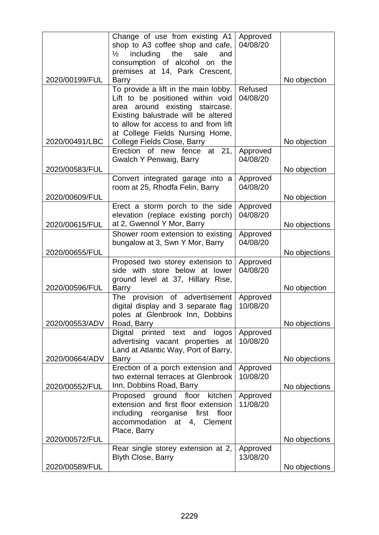|                | Change of use from existing A1                                 | Approved             |               |
|----------------|----------------------------------------------------------------|----------------------|---------------|
|                | shop to A3 coffee shop and cafe,                               | 04/08/20             |               |
|                | including<br>the<br>sale<br>$\frac{1}{2}$<br>and               |                      |               |
|                | consumption of alcohol on the                                  |                      |               |
| 2020/00199/FUL | premises at 14, Park Crescent,<br><b>Barry</b>                 |                      | No objection  |
|                | To provide a lift in the main lobby.                           | Refused              |               |
|                | Lift to be positioned within void                              | 04/08/20             |               |
|                | area around existing staircase.                                |                      |               |
|                | Existing balustrade will be altered                            |                      |               |
|                | to allow for access to and from lift                           |                      |               |
|                | at College Fields Nursing Home,                                |                      |               |
| 2020/00491/LBC | College Fields Close, Barry                                    |                      | No objection  |
|                | Erection of new fence at 21,<br><b>Gwalch Y Penwaig, Barry</b> | Approved<br>04/08/20 |               |
| 2020/00583/FUL |                                                                |                      | No objection  |
|                | Convert integrated garage into a                               | Approved             |               |
|                | room at 25, Rhodfa Felin, Barry                                | 04/08/20             |               |
| 2020/00609/FUL |                                                                |                      | No objection  |
|                | Erect a storm porch to the side                                | Approved             |               |
|                | elevation (replace existing porch)                             | 04/08/20             |               |
| 2020/00615/FUL | at 2, Gwennol Y Mor, Barry                                     |                      | No objections |
|                | Shower room extension to existing                              | Approved             |               |
|                | bungalow at 3, Swn Y Mor, Barry                                | 04/08/20             |               |
| 2020/00655/FUL |                                                                |                      | No objections |
|                | Proposed two storey extension to                               | Approved             |               |
|                | side with store below at lower                                 | 04/08/20             |               |
| 2020/00596/FUL | ground level at 37, Hillary Rise,<br><b>Barry</b>              |                      | No objection  |
|                | The provision of advertisement                                 | Approved             |               |
|                | digital display and 3 separate flag                            | 10/08/20             |               |
|                | poles at Glenbrook Inn, Dobbins                                |                      |               |
| 2020/00553/ADV | Road, Barry                                                    |                      | No objections |
|                | Digital printed text and<br>logos                              | Approved             |               |
|                | advertising vacant properties at                               | 10/08/20             |               |
| 2020/00664/ADV | Land at Atlantic Way, Port of Barry,<br><b>Barry</b>           |                      | No objections |
|                | Erection of a porch extension and                              | Approved             |               |
|                | two external terraces at Glenbrook                             | 10/08/20             |               |
| 2020/00552/FUL | Inn, Dobbins Road, Barry                                       |                      | No objections |
|                | Proposed ground floor<br>kitchen                               | Approved             |               |
|                | extension and first floor extension                            | 11/08/20             |               |
|                | including reorganise first<br>floor                            |                      |               |
|                | accommodation at 4, Clement                                    |                      |               |
| 2020/00572/FUL | Place, Barry                                                   |                      |               |
|                | Rear single storey extension at 2,                             | Approved             | No objections |
|                | <b>Blyth Close, Barry</b>                                      | 13/08/20             |               |
| 2020/00589/FUL |                                                                |                      | No objections |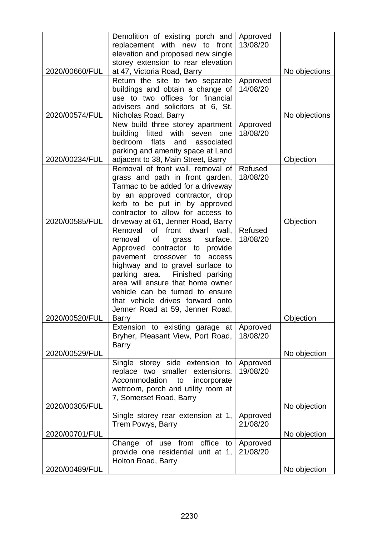|                | Demolition of existing porch and                                        | Approved             |               |
|----------------|-------------------------------------------------------------------------|----------------------|---------------|
|                | replacement with new to front                                           | 13/08/20             |               |
|                | elevation and proposed new single                                       |                      |               |
|                | storey extension to rear elevation                                      |                      |               |
| 2020/00660/FUL | at 47, Victoria Road, Barry                                             |                      | No objections |
|                | Return the site to two separate                                         | Approved             |               |
|                | buildings and obtain a change of                                        | 14/08/20             |               |
|                | use to two offices for financial                                        |                      |               |
|                | advisers and solicitors at 6, St.                                       |                      |               |
| 2020/00574/FUL | Nicholas Road, Barry                                                    |                      | No objections |
|                | New build three storey apartment                                        | Approved             |               |
|                | building fitted with seven one<br>bedroom<br>flats                      | 18/08/20             |               |
|                | and<br>associated                                                       |                      |               |
| 2020/00234/FUL | parking and amenity space at Land<br>adjacent to 38, Main Street, Barry |                      | Objection     |
|                | Removal of front wall, removal of                                       | Refused              |               |
|                | grass and path in front garden,                                         | 18/08/20             |               |
|                | Tarmac to be added for a driveway                                       |                      |               |
|                | by an approved contractor, drop                                         |                      |               |
|                | kerb to be put in by approved                                           |                      |               |
|                | contractor to allow for access to                                       |                      |               |
| 2020/00585/FUL | driveway at 61, Jenner Road, Barry                                      |                      | Objection     |
|                | Removal of front dwarf<br>wall,                                         | Refused              |               |
|                | of<br>surface.<br>grass<br>removal                                      | 18/08/20             |               |
|                | Approved contractor to provide                                          |                      |               |
|                | crossover<br>pavement<br>to<br>access                                   |                      |               |
|                | highway and to gravel surface to                                        |                      |               |
|                | Finished parking<br>parking area.                                       |                      |               |
|                | area will ensure that home owner                                        |                      |               |
|                | vehicle can be turned to ensure                                         |                      |               |
|                | that vehicle drives forward onto                                        |                      |               |
|                | Jenner Road at 59, Jenner Road,                                         |                      |               |
| 2020/00520/FUL | Barry                                                                   |                      | Objection     |
|                | Extension to existing garage at<br>Bryher, Pleasant View, Port Road,    | Approved<br>18/08/20 |               |
|                | <b>Barry</b>                                                            |                      |               |
| 2020/00529/FUL |                                                                         |                      | No objection  |
|                | Single storey side extension to                                         | Approved             |               |
|                | replace two smaller extensions.                                         | 19/08/20             |               |
|                | Accommodation<br>to<br>incorporate                                      |                      |               |
|                | wetroom, porch and utility room at                                      |                      |               |
|                | 7, Somerset Road, Barry                                                 |                      |               |
| 2020/00305/FUL |                                                                         |                      | No objection  |
|                | Single storey rear extension at 1,                                      | Approved             |               |
|                | Trem Powys, Barry                                                       | 21/08/20             |               |
| 2020/00701/FUL |                                                                         |                      | No objection  |
|                | Change of use from office to                                            | Approved             |               |
|                | provide one residential unit at 1,                                      | 21/08/20             |               |
|                | Holton Road, Barry                                                      |                      |               |
| 2020/00489/FUL |                                                                         |                      | No objection  |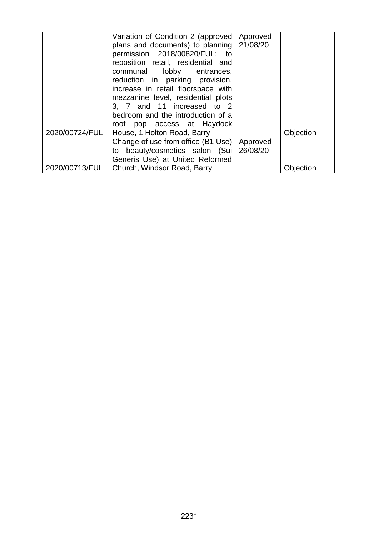|                | Variation of Condition 2 (approved<br>plans and documents) to planning 21/08/20<br>permission 2018/00820/FUL: to<br>reposition retail, residential and<br>communal lobby entrances,<br>reduction in parking provision,<br>increase in retail floorspace with<br>mezzanine level, residential plots<br>3, 7 and 11 increased to 2<br>bedroom and the introduction of a | Approved             |           |
|----------------|-----------------------------------------------------------------------------------------------------------------------------------------------------------------------------------------------------------------------------------------------------------------------------------------------------------------------------------------------------------------------|----------------------|-----------|
| 2020/00724/FUL | roof pop access at Haydock<br>House, 1 Holton Road, Barry                                                                                                                                                                                                                                                                                                             |                      | Objection |
| 2020/00713/FUL | Change of use from office (B1 Use)<br>beauty/cosmetics salon (Sui<br>to<br>Generis Use) at United Reformed<br>Church, Windsor Road, Barry                                                                                                                                                                                                                             | Approved<br>26/08/20 | Obiection |